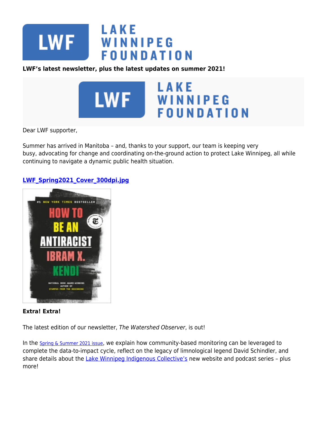

### **LWF's latest newsletter, plus the latest updates on summer 2021!**



Dear LWF supporter,

Summer has arrived in Manitoba – and, thanks to your support, our team is keeping very busy, advocating for change and coordinating on-the-ground action to protect Lake Winnipeg, all while continuing to navigate a dynamic public health situation.

### **[LWF\\_Spring2021\\_Cover\\_300dpi.jpg](https://lakewinnipegfoundation.org/file/lwfspring2021cover300dpijpg)**



#### **Extra! Extra!**

The latest edition of our newsletter, The Watershed Observer, is out!

In the **[Spring & Summer 2021 issue](https://www.lakewinnipegfoundation.org/sites/default/files/LWF_Spring2021_LoRes.pdf)**, we explain how community-based monitoring can be leveraged to complete the data-to-impact cycle, reflect on the legacy of limnological legend David Schindler, and share details about the [Lake Winnipeg Indigenous Collective's](https://www.lwic.org/) new website and podcast series - plus more!